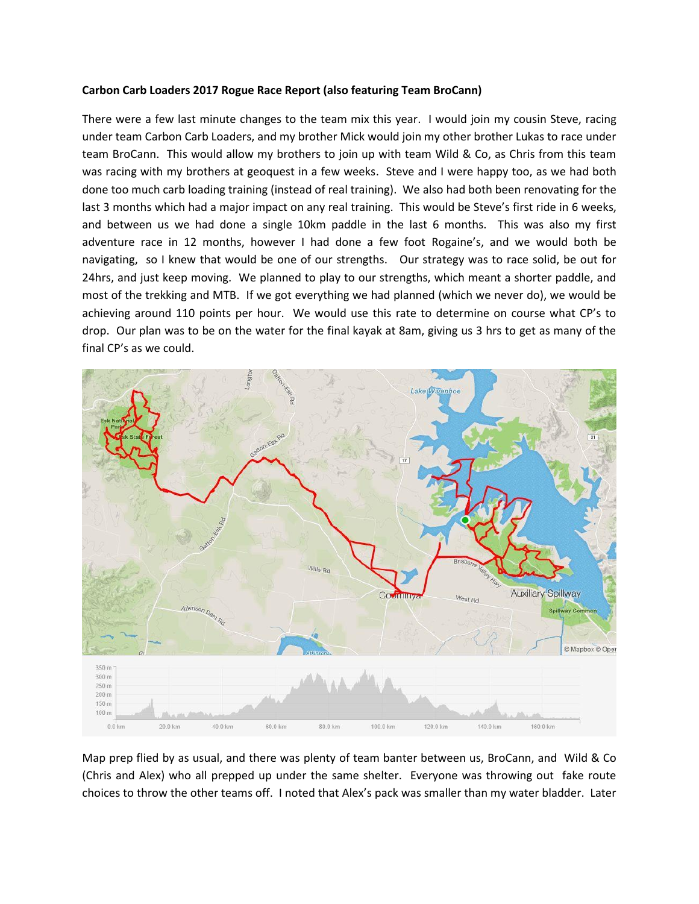## **Carbon Carb Loaders 2017 Rogue Race Report (also featuring Team BroCann)**

There were a few last minute changes to the team mix this year. I would join my cousin Steve, racing under team Carbon Carb Loaders, and my brother Mick would join my other brother Lukas to race under team BroCann. This would allow my brothers to join up with team Wild & Co, as Chris from this team was racing with my brothers at geoquest in a few weeks. Steve and I were happy too, as we had both done too much carb loading training (instead of real training). We also had both been renovating for the last 3 months which had a major impact on any real training. This would be Steve's first ride in 6 weeks, and between us we had done a single 10km paddle in the last 6 months. This was also my first adventure race in 12 months, however I had done a few foot Rogaine's, and we would both be navigating, so I knew that would be one of our strengths. Our strategy was to race solid, be out for 24hrs, and just keep moving. We planned to play to our strengths, which meant a shorter paddle, and most of the trekking and MTB. If we got everything we had planned (which we never do), we would be achieving around 110 points per hour. We would use this rate to determine on course what CP's to drop. Our plan was to be on the water for the final kayak at 8am, giving us 3 hrs to get as many of the final CP's as we could.



Map prep flied by as usual, and there was plenty of team banter between us, BroCann, and Wild & Co (Chris and Alex) who all prepped up under the same shelter. Everyone was throwing out fake route choices to throw the other teams off. I noted that Alex's pack was smaller than my water bladder. Later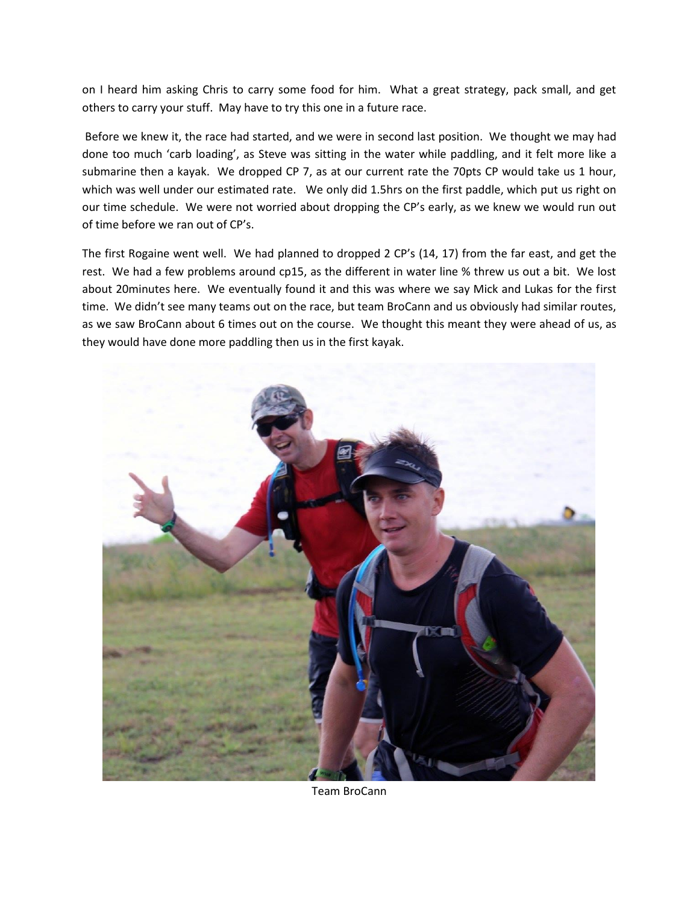on I heard him asking Chris to carry some food for him. What a great strategy, pack small, and get others to carry your stuff. May have to try this one in a future race.

Before we knew it, the race had started, and we were in second last position. We thought we may had done too much 'carb loading', as Steve was sitting in the water while paddling, and it felt more like a submarine then a kayak. We dropped CP 7, as at our current rate the 70pts CP would take us 1 hour, which was well under our estimated rate. We only did 1.5hrs on the first paddle, which put us right on our time schedule. We were not worried about dropping the CP's early, as we knew we would run out of time before we ran out of CP's.

The first Rogaine went well. We had planned to dropped 2 CP's (14, 17) from the far east, and get the rest. We had a few problems around cp15, as the different in water line % threw us out a bit. We lost about 20minutes here. We eventually found it and this was where we say Mick and Lukas for the first time. We didn't see many teams out on the race, but team BroCann and us obviously had similar routes, as we saw BroCann about 6 times out on the course. We thought this meant they were ahead of us, as they would have done more paddling then us in the first kayak.



Team BroCann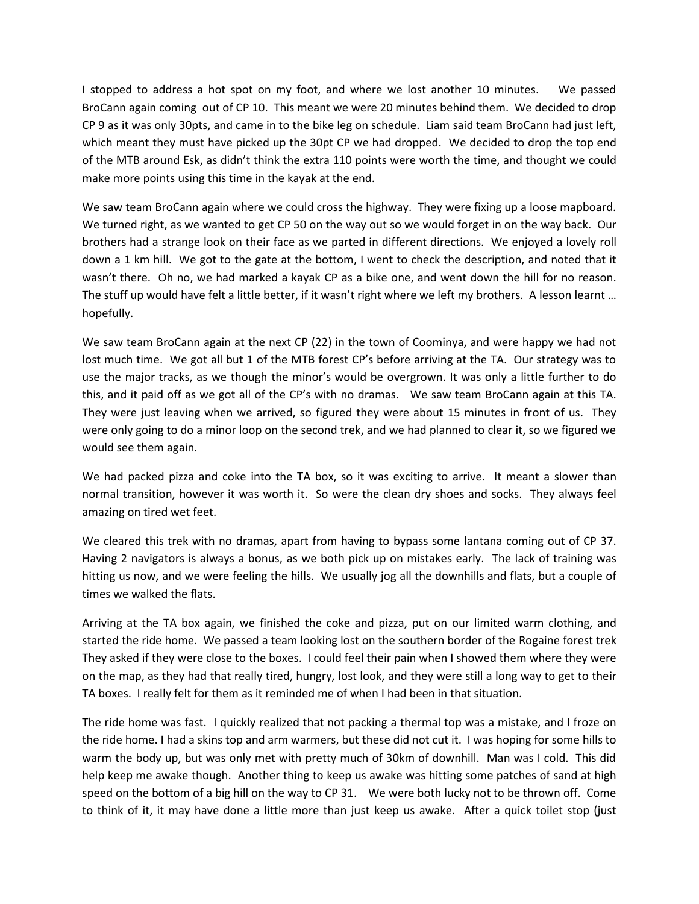I stopped to address a hot spot on my foot, and where we lost another 10 minutes. We passed BroCann again coming out of CP 10. This meant we were 20 minutes behind them. We decided to drop CP 9 as it was only 30pts, and came in to the bike leg on schedule. Liam said team BroCann had just left, which meant they must have picked up the 30pt CP we had dropped. We decided to drop the top end of the MTB around Esk, as didn't think the extra 110 points were worth the time, and thought we could make more points using this time in the kayak at the end.

We saw team BroCann again where we could cross the highway. They were fixing up a loose mapboard. We turned right, as we wanted to get CP 50 on the way out so we would forget in on the way back. Our brothers had a strange look on their face as we parted in different directions. We enjoyed a lovely roll down a 1 km hill. We got to the gate at the bottom, I went to check the description, and noted that it wasn't there. Oh no, we had marked a kayak CP as a bike one, and went down the hill for no reason. The stuff up would have felt a little better, if it wasn't right where we left my brothers. A lesson learnt … hopefully.

We saw team BroCann again at the next CP (22) in the town of Coominya, and were happy we had not lost much time. We got all but 1 of the MTB forest CP's before arriving at the TA. Our strategy was to use the major tracks, as we though the minor's would be overgrown. It was only a little further to do this, and it paid off as we got all of the CP's with no dramas. We saw team BroCann again at this TA. They were just leaving when we arrived, so figured they were about 15 minutes in front of us. They were only going to do a minor loop on the second trek, and we had planned to clear it, so we figured we would see them again.

We had packed pizza and coke into the TA box, so it was exciting to arrive. It meant a slower than normal transition, however it was worth it. So were the clean dry shoes and socks. They always feel amazing on tired wet feet.

We cleared this trek with no dramas, apart from having to bypass some lantana coming out of CP 37. Having 2 navigators is always a bonus, as we both pick up on mistakes early. The lack of training was hitting us now, and we were feeling the hills. We usually jog all the downhills and flats, but a couple of times we walked the flats.

Arriving at the TA box again, we finished the coke and pizza, put on our limited warm clothing, and started the ride home. We passed a team looking lost on the southern border of the Rogaine forest trek They asked if they were close to the boxes. I could feel their pain when I showed them where they were on the map, as they had that really tired, hungry, lost look, and they were still a long way to get to their TA boxes. I really felt for them as it reminded me of when I had been in that situation.

The ride home was fast. I quickly realized that not packing a thermal top was a mistake, and I froze on the ride home. I had a skins top and arm warmers, but these did not cut it. I was hoping for some hills to warm the body up, but was only met with pretty much of 30km of downhill. Man was I cold. This did help keep me awake though. Another thing to keep us awake was hitting some patches of sand at high speed on the bottom of a big hill on the way to CP 31. We were both lucky not to be thrown off. Come to think of it, it may have done a little more than just keep us awake. After a quick toilet stop (just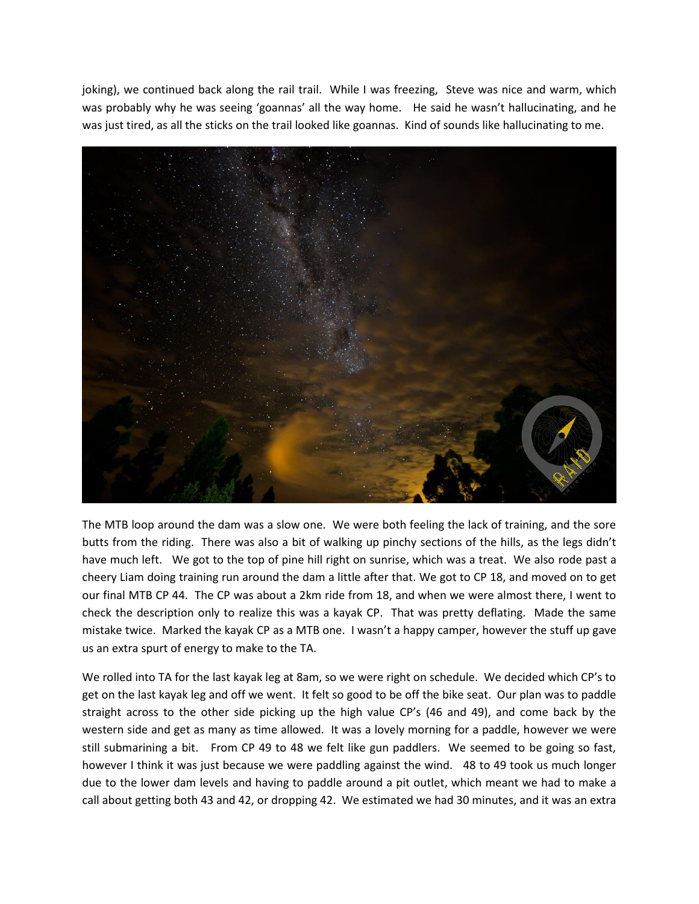joking), we continued back along the rail trail. While I was freezing, Steve was nice and warm, which was probably why he was seeing 'goannas' all the way home. He said he wasn't hallucinating, and he was just tired, as all the sticks on the trail looked like goannas. Kind of sounds like hallucinating to me.



The MTB loop around the dam was a slow one. We were both feeling the lack of training, and the sore butts from the riding. There was also a bit of walking up pinchy sections of the hills, as the legs didn't have much left. We got to the top of pine hill right on sunrise, which was a treat. We also rode past a cheery Liam doing training run around the dam a little after that. We got to CP 18, and moved on to get our final MTB CP 44. The CP was about a 2km ride from 18, and when we were almost there, I went to check the description only to realize this was a kayak CP. That was pretty deflating. Made the same mistake twice. Marked the kayak CP as a MTB one. I wasn't a happy camper, however the stuff up gave us an extra spurt of energy to make to the TA.

We rolled into TA for the last kayak leg at 8am, so we were right on schedule. We decided which CP's to get on the last kayak leg and off we went. It felt so good to be off the bike seat. Our plan was to paddle straight across to the other side picking up the high value CP's (46 and 49), and come back by the western side and get as many as time allowed. It was a lovely morning for a paddle, however we were still submarining a bit. From CP 49 to 48 we felt like gun paddlers. We seemed to be going so fast, however I think it was just because we were paddling against the wind. 48 to 49 took us much longer due to the lower dam levels and having to paddle around a pit outlet, which meant we had to make a call about getting both 43 and 42, or dropping 42. We estimated we had 30 minutes, and it was an extra